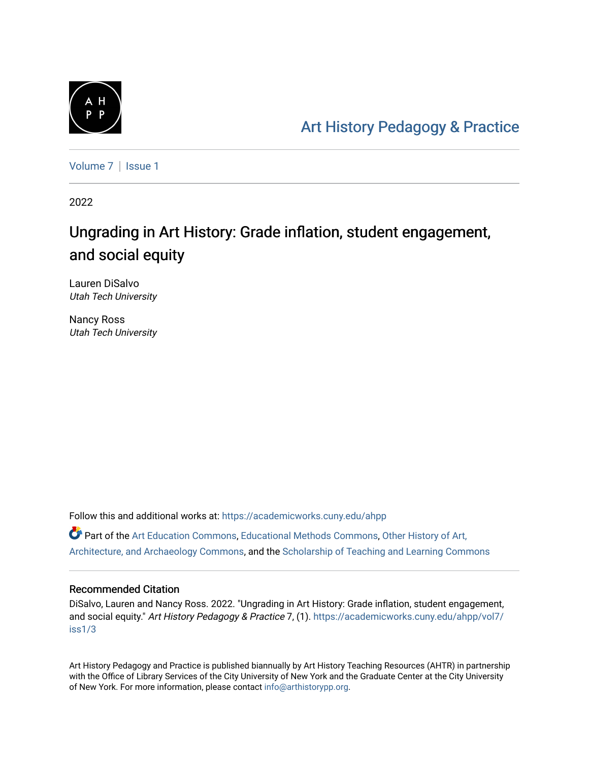

[Art History Pedagogy & Pr](https://academicworks.cuny.edu/ahpp)actice

[Volume 7](https://academicworks.cuny.edu/ahpp/vol7) | Issue 1

2022

# Ungrading in Art History: Grade inflation, student engagement, and social equity

Lauren DiSalvo Utah Tech University

Nancy Ross Utah Tech University

Follow this and additional works at: [https://academicworks.cuny.edu/ahpp](https://academicworks.cuny.edu/ahpp?utm_source=academicworks.cuny.edu%2Fahpp%2Fvol7%2Fiss1%2F3&utm_medium=PDF&utm_campaign=PDFCoverPages) Part of the [Art Education Commons](http://network.bepress.com/hgg/discipline/1149?utm_source=academicworks.cuny.edu%2Fahpp%2Fvol7%2Fiss1%2F3&utm_medium=PDF&utm_campaign=PDFCoverPages), [Educational Methods Commons](http://network.bepress.com/hgg/discipline/1227?utm_source=academicworks.cuny.edu%2Fahpp%2Fvol7%2Fiss1%2F3&utm_medium=PDF&utm_campaign=PDFCoverPages), [Other History of Art,](http://network.bepress.com/hgg/discipline/517?utm_source=academicworks.cuny.edu%2Fahpp%2Fvol7%2Fiss1%2F3&utm_medium=PDF&utm_campaign=PDFCoverPages)  [Architecture, and Archaeology Commons,](http://network.bepress.com/hgg/discipline/517?utm_source=academicworks.cuny.edu%2Fahpp%2Fvol7%2Fiss1%2F3&utm_medium=PDF&utm_campaign=PDFCoverPages) and the [Scholarship of Teaching and Learning Commons](http://network.bepress.com/hgg/discipline/1328?utm_source=academicworks.cuny.edu%2Fahpp%2Fvol7%2Fiss1%2F3&utm_medium=PDF&utm_campaign=PDFCoverPages)

#### Recommended Citation

DiSalvo, Lauren and Nancy Ross. 2022. "Ungrading in Art History: Grade inflation, student engagement, and social equity." Art History Pedagogy & Practice 7, (1). [https://academicworks.cuny.edu/ahpp/vol7/](https://academicworks.cuny.edu/ahpp/vol7/iss1/3?utm_source=academicworks.cuny.edu%2Fahpp%2Fvol7%2Fiss1%2F3&utm_medium=PDF&utm_campaign=PDFCoverPages) [iss1/3](https://academicworks.cuny.edu/ahpp/vol7/iss1/3?utm_source=academicworks.cuny.edu%2Fahpp%2Fvol7%2Fiss1%2F3&utm_medium=PDF&utm_campaign=PDFCoverPages)

Art History Pedagogy and Practice is published biannually by Art History Teaching Resources (AHTR) in partnership with the Office of Library Services of the City University of New York and the Graduate Center at the City University of New York. For more information, please contact [info@arthistorypp.org](mailto:info@arthistorypp.org).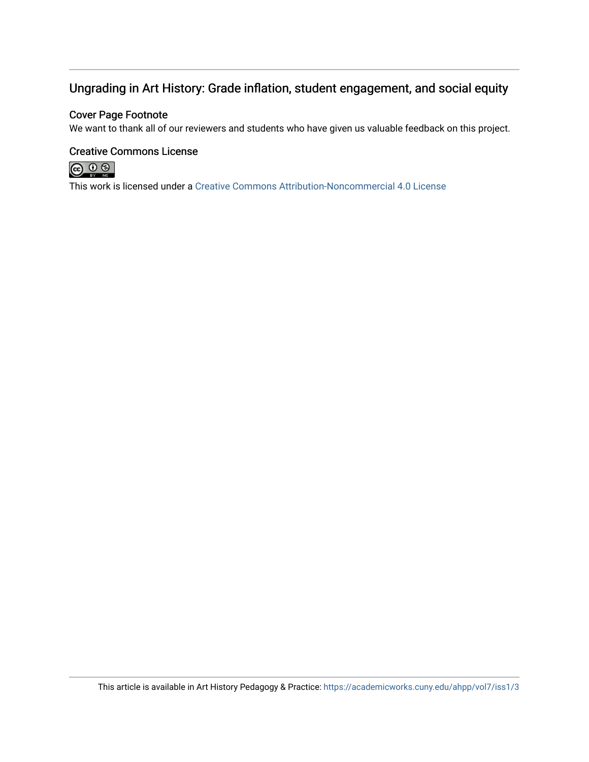## Ungrading in Art History: Grade inflation, student engagement, and social equity

#### Cover Page Footnote

We want to thank all of our reviewers and students who have given us valuable feedback on this project.

#### Creative Commons License



This work is licensed under a [Creative Commons Attribution-Noncommercial 4.0 License](https://creativecommons.org/licenses/by-nc/4.0/)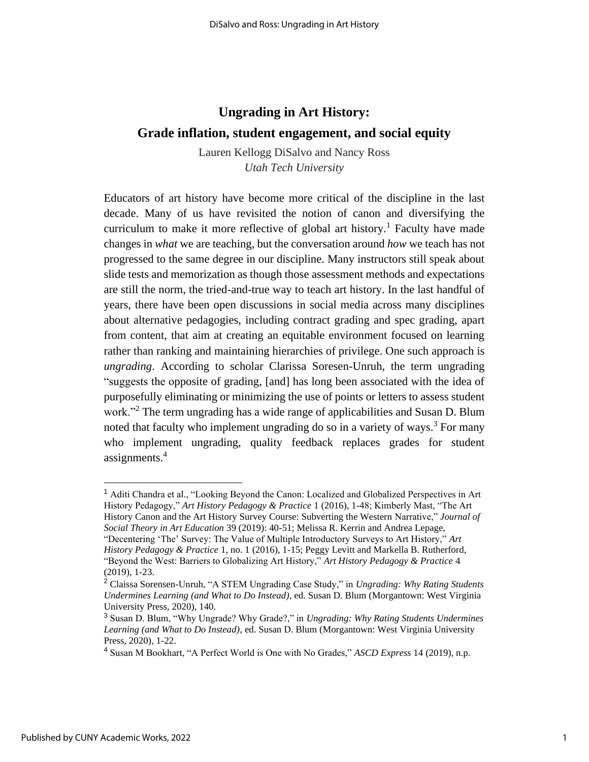## **Ungrading in Art History:**

### **Grade inflation, student engagement, and social equity**

Lauren Kellogg DiSalvo and Nancy Ross *Utah Tech University*

Educators of art history have become more critical of the discipline in the last decade. Many of us have revisited the notion of canon and diversifying the curriculum to make it more reflective of global art history.<sup>1</sup> Faculty have made changes in *what* we are teaching, but the conversation around *how* we teach has not progressed to the same degree in our discipline. Many instructors still speak about slide tests and memorization as though those assessment methods and expectations are still the norm, the tried-and-true way to teach art history. In the last handful of years, there have been open discussions in social media across many disciplines about alternative pedagogies, including contract grading and spec grading, apart from content, that aim at creating an equitable environment focused on learning rather than ranking and maintaining hierarchies of privilege. One such approach is *ungrading*. According to scholar Clarissa Soresen-Unruh, the term ungrading "suggests the opposite of grading, [and] has long been associated with the idea of purposefully eliminating or minimizing the use of points or letters to assess student work."<sup>2</sup> The term ungrading has a wide range of applicabilities and Susan D. Blum noted that faculty who implement ungrading do so in a variety of ways.<sup>3</sup> For many who implement ungrading, quality feedback replaces grades for student assignments.<sup>4</sup>

<sup>1</sup> Aditi Chandra et al., "Looking Beyond the Canon: Localized and Globalized Perspectives in Art History Pedagogy," *Art History Pedagogy & Practice* 1 (2016), 1-48; Kimberly Mast, "The Art History Canon and the Art History Survey Course: Subverting the Western Narrative," *Journal of Social Theory in Art Education* 39 (2019): 40-51; Melissa R. Kerrin and Andrea Lepage, "Decentering 'The' Survey: The Value of Multiple Introductory Surveys to Art History," *Art History Pedagogy & Practice* 1, no. 1 (2016), 1-15; Peggy Levitt and Markella B. Rutherford, "Beyond the West: Barriers to Globalizing Art History," *Art History Pedagogy & Practice* 4

<sup>(2019), 1-23.</sup> 

<sup>2</sup> Claissa Sorensen-Unruh, "A STEM Ungrading Case Study," in *Ungrading: Why Rating Students Undermines Learning (and What to Do Instead)*, ed. Susan D. Blum (Morgantown: West Virginia University Press, 2020), 140.

<sup>3</sup> Susan D. Blum, "Why Ungrade? Why Grade?," in *Ungrading: Why Rating Students Undermines Learning (and What to Do Instead)*, ed. Susan D. Blum (Morgantown: West Virginia University Press, 2020), 1-22.

<sup>4</sup> Susan M Bookhart, "A Perfect World is One with No Grades," *ASCD Express* 14 (2019), n.p.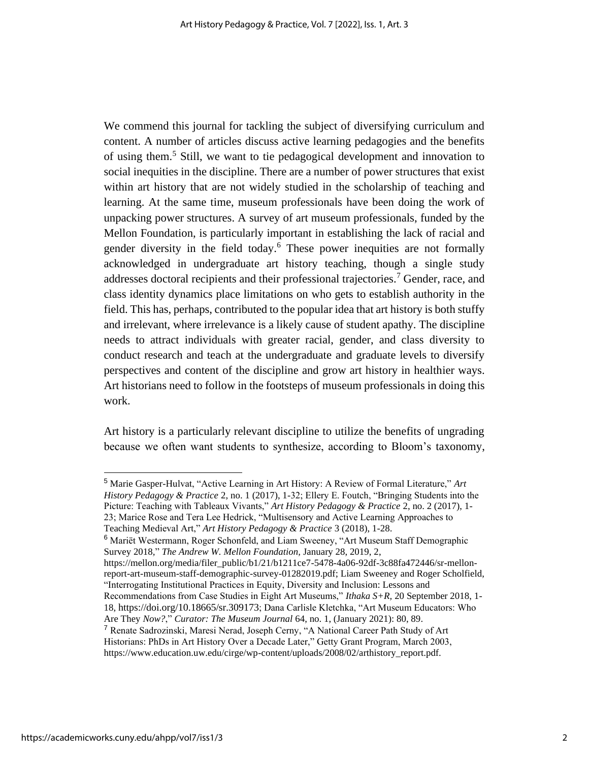We commend this journal for tackling the subject of diversifying curriculum and content. A number of articles discuss active learning pedagogies and the benefits of using them.<sup>5</sup> Still, we want to tie pedagogical development and innovation to social inequities in the discipline. There are a number of power structures that exist within art history that are not widely studied in the scholarship of teaching and learning. At the same time, museum professionals have been doing the work of unpacking power structures. A survey of art museum professionals, funded by the Mellon Foundation, is particularly important in establishing the lack of racial and gender diversity in the field today.<sup>6</sup> These power inequities are not formally acknowledged in undergraduate art history teaching, though a single study addresses doctoral recipients and their professional trajectories.<sup>7</sup> Gender, race, and class identity dynamics place limitations on who gets to establish authority in the field. This has, perhaps, contributed to the popular idea that art history is both stuffy and irrelevant, where irrelevance is a likely cause of student apathy. The discipline needs to attract individuals with greater racial, gender, and class diversity to conduct research and teach at the undergraduate and graduate levels to diversify perspectives and content of the discipline and grow art history in healthier ways. Art historians need to follow in the footsteps of museum professionals in doing this work.

Art history is a particularly relevant discipline to utilize the benefits of ungrading because we often want students to synthesize, according to Bloom's taxonomy,

<sup>5</sup> Marie Gasper-Hulvat, "Active Learning in Art History: A Review of Formal Literature," *Art History Pedagogy & Practice* 2, no. 1 (2017), 1-32; Ellery E. Foutch, "Bringing Students into the Picture: Teaching with Tableaux Vivants," *Art History Pedagogy & Practice* 2, no. 2 (2017), 1- 23; Marice Rose and Tera Lee Hedrick, "Multisensory and Active Learning Approaches to Teaching Medieval Art," *Art History Pedagogy & Practice* 3 (2018), 1-28.

<sup>6</sup> Mariët Westermann, Roger Schonfeld, and Liam Sweeney, "Art Museum Staff Demographic Survey 2018*,*" *The Andrew W. Mellon Foundation,* January 28, 2019, 2,

https://mellon.org/media/filer\_public/b1/21/b1211ce7-5478-4a06-92df-3c88fa472446/sr-mellonreport-art-museum-staff-demographic-survey-01282019.pdf; Liam Sweeney and Roger Scholfield, "Interrogating Institutional Practices in Equity, Diversity and Inclusion: Lessons and

Recommendations from Case Studies in Eight Art Museums," *Ithaka S+R,* 20 September 2018, 1- 18, https://doi.org/10.18665/sr.309173; Dana Carlisle Kletchka, "Art Museum Educators: Who Are They *Now?*," *Curator: The Museum Journal* 64, no. 1, (January 2021): 80, 89.

<sup>&</sup>lt;sup>7</sup> Renate Sadrozinski, Maresi Nerad, Joseph Cerny, "A National Career Path Study of Art Historians: PhDs in Art History Over a Decade Later," Getty Grant Program, March 2003,

https://www.education.uw.edu/cirge/wp-content/uploads/2008/02/arthistory\_report.pdf.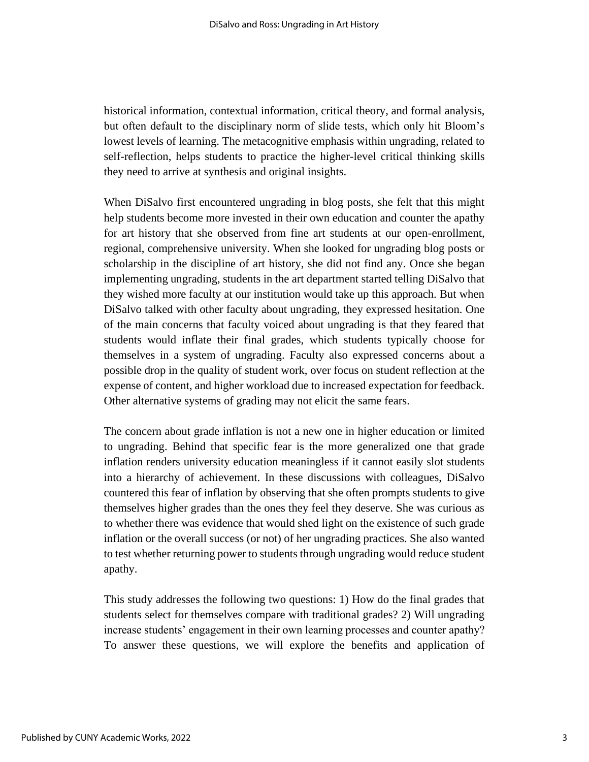historical information, contextual information, critical theory, and formal analysis, but often default to the disciplinary norm of slide tests, which only hit Bloom's lowest levels of learning. The metacognitive emphasis within ungrading, related to self-reflection, helps students to practice the higher-level critical thinking skills they need to arrive at synthesis and original insights.

When DiSalvo first encountered ungrading in blog posts, she felt that this might help students become more invested in their own education and counter the apathy for art history that she observed from fine art students at our open-enrollment, regional, comprehensive university. When she looked for ungrading blog posts or scholarship in the discipline of art history, she did not find any. Once she began implementing ungrading, students in the art department started telling DiSalvo that they wished more faculty at our institution would take up this approach. But when DiSalvo talked with other faculty about ungrading, they expressed hesitation. One of the main concerns that faculty voiced about ungrading is that they feared that students would inflate their final grades, which students typically choose for themselves in a system of ungrading. Faculty also expressed concerns about a possible drop in the quality of student work, over focus on student reflection at the expense of content, and higher workload due to increased expectation for feedback. Other alternative systems of grading may not elicit the same fears.

The concern about grade inflation is not a new one in higher education or limited to ungrading. Behind that specific fear is the more generalized one that grade inflation renders university education meaningless if it cannot easily slot students into a hierarchy of achievement. In these discussions with colleagues, DiSalvo countered this fear of inflation by observing that she often prompts students to give themselves higher grades than the ones they feel they deserve. She was curious as to whether there was evidence that would shed light on the existence of such grade inflation or the overall success (or not) of her ungrading practices. She also wanted to test whether returning power to students through ungrading would reduce student apathy.

This study addresses the following two questions: 1) How do the final grades that students select for themselves compare with traditional grades? 2) Will ungrading increase students' engagement in their own learning processes and counter apathy? To answer these questions, we will explore the benefits and application of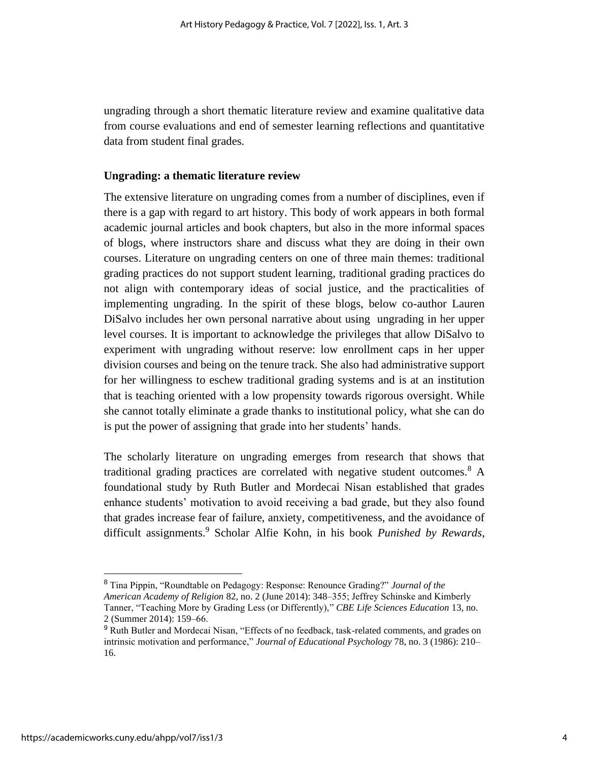ungrading through a short thematic literature review and examine qualitative data from course evaluations and end of semester learning reflections and quantitative data from student final grades.

#### **Ungrading: a thematic literature review**

The extensive literature on ungrading comes from a number of disciplines, even if there is a gap with regard to art history. This body of work appears in both formal academic journal articles and book chapters, but also in the more informal spaces of blogs, where instructors share and discuss what they are doing in their own courses. Literature on ungrading centers on one of three main themes: traditional grading practices do not support student learning, traditional grading practices do not align with contemporary ideas of social justice, and the practicalities of implementing ungrading. In the spirit of these blogs, below co-author Lauren DiSalvo includes her own personal narrative about using ungrading in her upper level courses. It is important to acknowledge the privileges that allow DiSalvo to experiment with ungrading without reserve: low enrollment caps in her upper division courses and being on the tenure track. She also had administrative support for her willingness to eschew traditional grading systems and is at an institution that is teaching oriented with a low propensity towards rigorous oversight. While she cannot totally eliminate a grade thanks to institutional policy, what she can do is put the power of assigning that grade into her students' hands.

The scholarly literature on ungrading emerges from research that shows that traditional grading practices are correlated with negative student outcomes.<sup>8</sup> A foundational study by Ruth Butler and Mordecai Nisan established that grades enhance students' motivation to avoid receiving a bad grade, but they also found that grades increase fear of failure, anxiety, competitiveness, and the avoidance of difficult assignments.<sup>9</sup> Scholar Alfie Kohn, in his book *Punished by Rewards*,

<sup>8</sup> Tina Pippin, "Roundtable on Pedagogy: Response: Renounce Grading?" *Journal of the American Academy of Religion* 82, no. 2 (June 2014): 348–355; Jeffrey Schinske and Kimberly Tanner, "Teaching More by Grading Less (or Differently)," *CBE Life Sciences Education* 13, no. 2 (Summer 2014): 159–66.

<sup>&</sup>lt;sup>9</sup> Ruth Butler and Mordecai Nisan, "Effects of no feedback, task-related comments, and grades on intrinsic motivation and performance," *Journal of Educational Psychology* 78, no. 3 (1986): 210– 16.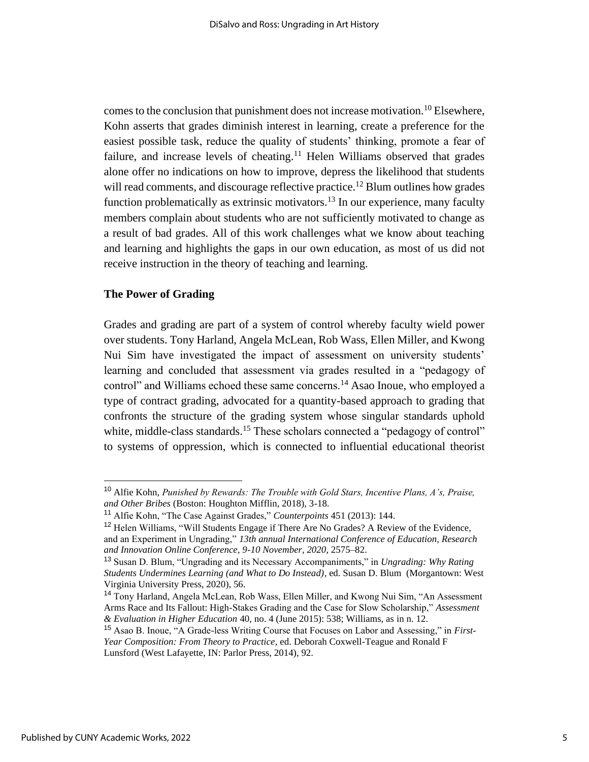comes to the conclusion that punishment does not increase motivation.<sup>10</sup> Elsewhere, Kohn asserts that grades diminish interest in learning, create a preference for the easiest possible task, reduce the quality of students' thinking, promote a fear of failure, and increase levels of cheating.<sup>11</sup> Helen Williams observed that grades alone offer no indications on how to improve, depress the likelihood that students will read comments, and discourage reflective practice.<sup>12</sup> Blum outlines how grades function problematically as extrinsic motivators.<sup>13</sup> In our experience, many faculty members complain about students who are not sufficiently motivated to change as a result of bad grades. All of this work challenges what we know about teaching and learning and highlights the gaps in our own education, as most of us did not receive instruction in the theory of teaching and learning.

#### **The Power of Grading**

Grades and grading are part of a system of control whereby faculty wield power over students. Tony Harland, Angela McLean, Rob Wass, Ellen Miller, and Kwong Nui Sim have investigated the impact of assessment on university students' learning and concluded that assessment via grades resulted in a "pedagogy of control" and Williams echoed these same concerns.<sup>14</sup> Asao Inoue, who employed a type of contract grading, advocated for a quantity-based approach to grading that confronts the structure of the grading system whose singular standards uphold white, middle-class standards.<sup>15</sup> These scholars connected a "pedagogy of control" to systems of oppression, which is connected to influential educational theorist

<sup>10</sup> Alfie Kohn, *Punished by Rewards: The Trouble with Gold Stars, Incentive Plans, A's, Praise, and Other Bribes* (Boston: Houghton Mifflin, 2018), 3-18.

<sup>11</sup> Alfie Kohn, "The Case Against Grades," *Counterpoints* 451 (2013): 144.

<sup>&</sup>lt;sup>12</sup> Helen Williams, "Will Students Engage if There Are No Grades? A Review of the Evidence, and an Experiment in Ungrading," *13th annual International Conference of Education, Research and Innovation Online Conference, 9-10 November, 2020*, 2575–82.

<sup>13</sup> Susan D. Blum, "Ungrading and its Necessary Accompaniments," in *Ungrading: Why Rating Students Undermines Learning (and What to Do Instead)*, ed. Susan D. Blum (Morgantown: West Virginia University Press, 2020), 56.

<sup>14</sup> Tony Harland, Angela McLean, Rob Wass, Ellen Miller, and Kwong Nui Sim, "An Assessment Arms Race and Its Fallout: High-Stakes Grading and the Case for Slow Scholarship," *Assessment & Evaluation in Higher Education* 40, no. 4 (June 2015): 538; Williams, as in n. 12.

<sup>15</sup> Asao B. Inoue, "A Grade-less Writing Course that Focuses on Labor and Assessing," in *First-Year Composition: From Theory to Practice*, ed. Deborah Coxwell-Teague and Ronald F Lunsford (West Lafayette, IN: Parlor Press, 2014), 92.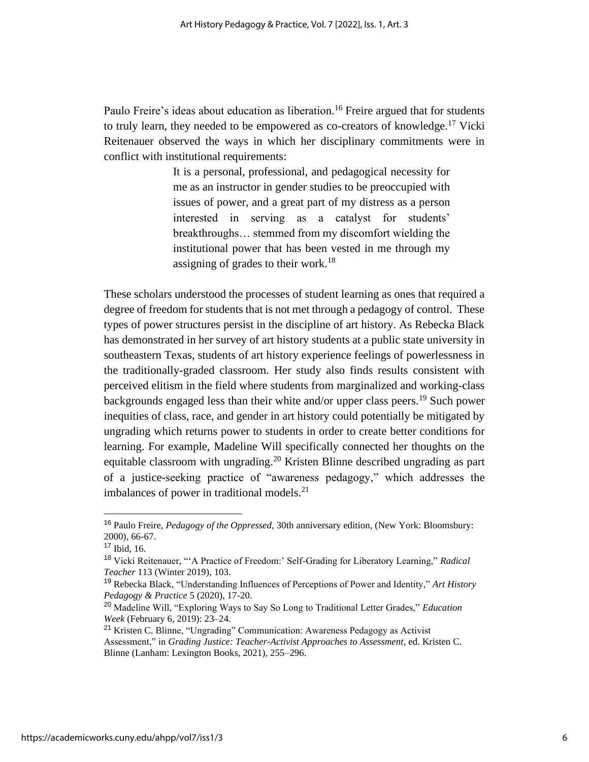Paulo Freire's ideas about education as liberation.<sup>16</sup> Freire argued that for students to truly learn, they needed to be empowered as co-creators of knowledge.<sup>17</sup> Vicki Reitenauer observed the ways in which her disciplinary commitments were in conflict with institutional requirements:

> It is a personal, professional, and pedagogical necessity for me as an instructor in gender studies to be preoccupied with issues of power, and a great part of my distress as a person interested in serving as a catalyst for students' breakthroughs… stemmed from my discomfort wielding the institutional power that has been vested in me through my assigning of grades to their work.<sup>18</sup>

These scholars understood the processes of student learning as ones that required a degree of freedom for students that is not met through a pedagogy of control. These types of power structures persist in the discipline of art history. As Rebecka Black has demonstrated in her survey of art history students at a public state university in southeastern Texas, students of art history experience feelings of powerlessness in the traditionally-graded classroom. Her study also finds results consistent with perceived elitism in the field where students from marginalized and working-class backgrounds engaged less than their white and/or upper class peers.<sup>19</sup> Such power inequities of class, race, and gender in art history could potentially be mitigated by ungrading which returns power to students in order to create better conditions for learning. For example, Madeline Will specifically connected her thoughts on the equitable classroom with ungrading.<sup>20</sup> Kristen Blinne described ungrading as part of a justice-seeking practice of "awareness pedagogy," which addresses the imbalances of power in traditional models. $2<sup>1</sup>$ 

<sup>16</sup> Paulo Freire, *Pedagogy of the Oppressed,* 30th anniversary edition, (New York: Bloomsbury: 2000), 66-67.

 $17$  Ibid, 16.

<sup>18</sup> Vicki Reitenauer, "'A Practice of Freedom:' Self-Grading for Liberatory Learning," *Radical Teacher* 113 (Winter 2019), 103.

<sup>19</sup> Rebecka Black, "Understanding Influences of Perceptions of Power and Identity," *Art History Pedagogy & Practice* 5 (2020), 17-20.

<sup>20</sup> Madeline Will, "Exploring Ways to Say So Long to Traditional Letter Grades," *Education Week* (February 6, 2019): 23–24.

<sup>21</sup> Kristen C. Blinne, "Ungrading" Communication: Awareness Pedagogy as Activist Assessment," in *Grading Justice: Teacher-Activist Approaches to Assessment*, ed. Kristen C. Blinne (Lanham: Lexington Books, 2021), 255–296.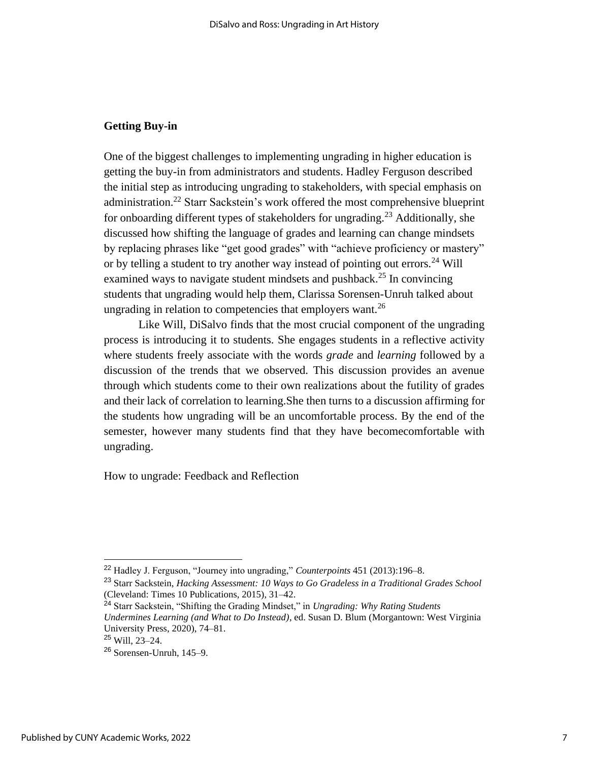#### **Getting Buy-in**

One of the biggest challenges to implementing ungrading in higher education is getting the buy-in from administrators and students. Hadley Ferguson described the initial step as introducing ungrading to stakeholders, with special emphasis on administration.<sup>22</sup> Starr Sackstein's work offered the most comprehensive blueprint for onboarding different types of stakeholders for ungrading.<sup>23</sup> Additionally, she discussed how shifting the language of grades and learning can change mindsets by replacing phrases like "get good grades" with "achieve proficiency or mastery" or by telling a student to try another way instead of pointing out errors.<sup>24</sup> Will examined ways to navigate student mindsets and pushback.<sup>25</sup> In convincing students that ungrading would help them, Clarissa Sorensen-Unruh talked about ungrading in relation to competencies that employers want.<sup>26</sup>

Like Will, DiSalvo finds that the most crucial component of the ungrading process is introducing it to students. She engages students in a reflective activity where students freely associate with the words *grade* and *learning* followed by a discussion of the trends that we observed. This discussion provides an avenue through which students come to their own realizations about the futility of grades and their lack of correlation to learning.She then turns to a discussion affirming for the students how ungrading will be an uncomfortable process. By the end of the semester, however many students find that they have becomecomfortable with ungrading.

How to ungrade: Feedback and Reflection

<sup>22</sup> Hadley J. Ferguson, "Journey into ungrading," *Counterpoints* 451 (2013):196–8.

<sup>23</sup> Starr Sackstein, *Hacking Assessment: 10 Ways to Go Gradeless in a Traditional Grades School*  (Cleveland: Times 10 Publications, 2015), 31–42.

<sup>24</sup> Starr Sackstein, "Shifting the Grading Mindset," in *Ungrading: Why Rating Students Undermines Learning (and What to Do Instead)*, ed. Susan D. Blum (Morgantown: West Virginia University Press, 2020), 74–81.

<sup>25</sup> Will, 23–24.

<sup>26</sup> Sorensen-Unruh, 145–9.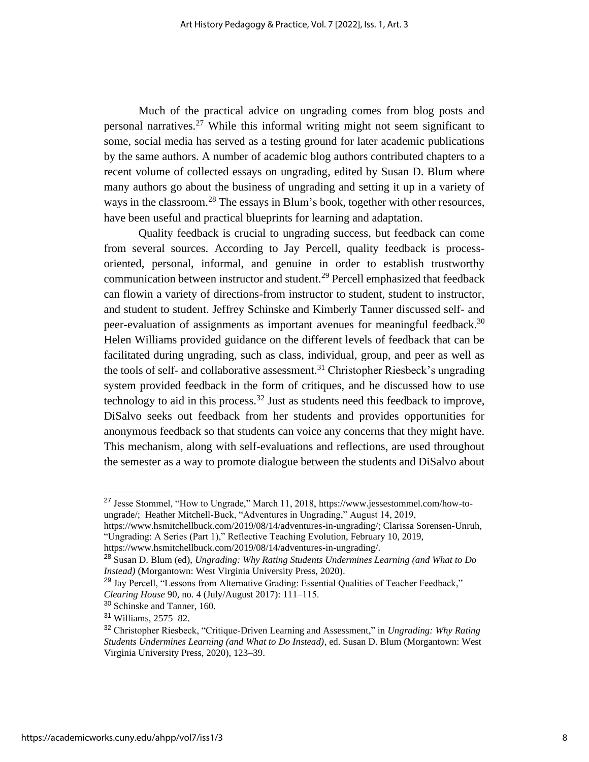Much of the practical advice on ungrading comes from blog posts and personal narratives.<sup>27</sup> While this informal writing might not seem significant to some, social media has served as a testing ground for later academic publications by the same authors. A number of academic blog authors contributed chapters to a recent volume of collected essays on ungrading, edited by Susan D. Blum where many authors go about the business of ungrading and setting it up in a variety of ways in the classroom.<sup>28</sup> The essays in Blum's book, together with other resources, have been useful and practical blueprints for learning and adaptation.

Quality feedback is crucial to ungrading success, but feedback can come from several sources. According to Jay Percell, quality feedback is processoriented, personal, informal, and genuine in order to establish trustworthy communication between instructor and student.<sup>29</sup> Percell emphasized that feedback can flowin a variety of directions-from instructor to student, student to instructor, and student to student. Jeffrey Schinske and Kimberly Tanner discussed self- and peer-evaluation of assignments as important avenues for meaningful feedback.<sup>30</sup> Helen Williams provided guidance on the different levels of feedback that can be facilitated during ungrading, such as class, individual, group, and peer as well as the tools of self- and collaborative assessment.<sup>31</sup> Christopher Riesbeck's ungrading system provided feedback in the form of critiques, and he discussed how to use technology to aid in this process.<sup>32</sup> Just as students need this feedback to improve, DiSalvo seeks out feedback from her students and provides opportunities for anonymous feedback so that students can voice any concerns that they might have. This mechanism, along with self-evaluations and reflections, are used throughout the semester as a way to promote dialogue between the students and DiSalvo about

<sup>27</sup> Jesse Stommel, "How to Ungrade," March 11, 2018, https://www.jessestommel.com/how-toungrade/; Heather Mitchell-Buck, "Adventures in Ungrading," August 14, 2019,

https://www.hsmitchellbuck.com/2019/08/14/adventures-in-ungrading/; Clarissa Sorensen-Unruh, "Ungrading: A Series (Part 1)," Reflective Teaching Evolution, February 10, 2019,

https://www.hsmitchellbuck.com/2019/08/14/adventures-in-ungrading/.

<sup>28</sup> Susan D. Blum (ed), *Ungrading: Why Rating Students Undermines Learning (and What to Do Instead)* (Morgantown: West Virginia University Press, 2020).

<sup>&</sup>lt;sup>29</sup> Jay Percell, "Lessons from Alternative Grading: Essential Qualities of Teacher Feedback," *Clearing House* 90, no. 4 (July/August 2017): 111–115.

<sup>30</sup> Schinske and Tanner, 160.

<sup>31</sup> Williams, 2575–82.

<sup>32</sup> Christopher Riesbeck, "Critique-Driven Learning and Assessment," in *Ungrading: Why Rating Students Undermines Learning (and What to Do Instead)*, ed. Susan D. Blum (Morgantown: West Virginia University Press, 2020), 123–39.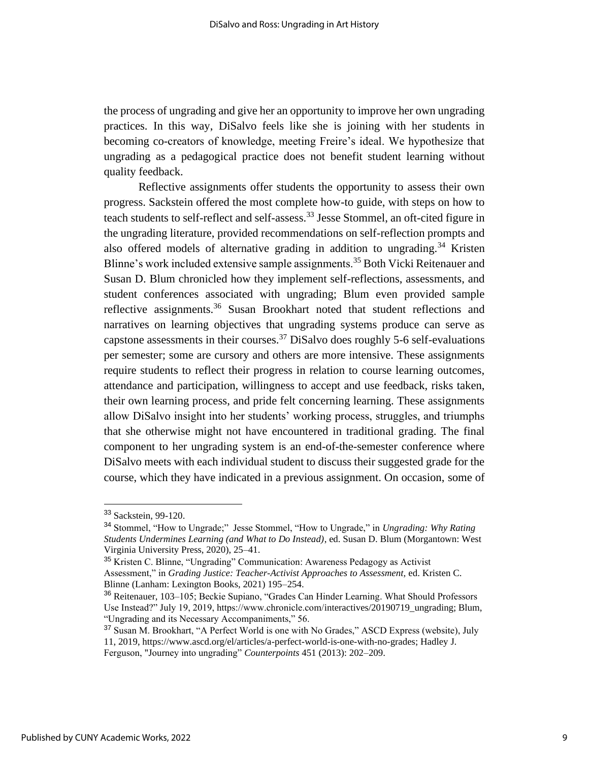the process of ungrading and give her an opportunity to improve her own ungrading practices. In this way, DiSalvo feels like she is joining with her students in becoming co-creators of knowledge, meeting Freire's ideal. We hypothesize that ungrading as a pedagogical practice does not benefit student learning without quality feedback.

Reflective assignments offer students the opportunity to assess their own progress. Sackstein offered the most complete how-to guide, with steps on how to teach students to self-reflect and self-assess. <sup>33</sup> Jesse Stommel, an oft-cited figure in the ungrading literature, provided recommendations on self-reflection prompts and also offered models of alternative grading in addition to ungrading.<sup>34</sup> Kristen Blinne's work included extensive sample assignments.<sup>35</sup> Both Vicki Reitenauer and Susan D. Blum chronicled how they implement self-reflections, assessments, and student conferences associated with ungrading; Blum even provided sample reflective assignments.<sup>36</sup> Susan Brookhart noted that student reflections and narratives on learning objectives that ungrading systems produce can serve as capstone assessments in their courses.<sup>37</sup> DiSalvo does roughly 5-6 self-evaluations per semester; some are cursory and others are more intensive. These assignments require students to reflect their progress in relation to course learning outcomes, attendance and participation, willingness to accept and use feedback, risks taken, their own learning process, and pride felt concerning learning. These assignments allow DiSalvo insight into her students' working process, struggles, and triumphs that she otherwise might not have encountered in traditional grading. The final component to her ungrading system is an end-of-the-semester conference where DiSalvo meets with each individual student to discuss their suggested grade for the course, which they have indicated in a previous assignment. On occasion, some of

<sup>&</sup>lt;sup>33</sup> Sackstein, 99-120.

<sup>34</sup> Stommel, "How to Ungrade;" Jesse Stommel, "How to Ungrade," in *Ungrading: Why Rating Students Undermines Learning (and What to Do Instead)*, ed. Susan D. Blum (Morgantown: West Virginia University Press, 2020), 25–41.

<sup>&</sup>lt;sup>35</sup> Kristen C. Blinne, "Ungrading" Communication: Awareness Pedagogy as Activist Assessment," in *Grading Justice: Teacher-Activist Approaches to Assessment,* ed. Kristen C. Blinne (Lanham: Lexington Books, 2021) 195–254.

<sup>36</sup> Reitenauer, 103–105; Beckie Supiano, "Grades Can Hinder Learning. What Should Professors Use Instead?" July 19, 2019, https://www.chronicle.com/interactives/20190719\_ungrading; Blum, "Ungrading and its Necessary Accompaniments," 56.

<sup>37</sup> Susan M. Brookhart, "A Perfect World is one with No Grades," ASCD Express (website), July 11, 2019, https://www.ascd.org/el/articles/a-perfect-world-is-one-with-no-grades; Hadley J. Ferguson, "Journey into ungrading" *Counterpoints* 451 (2013): 202–209.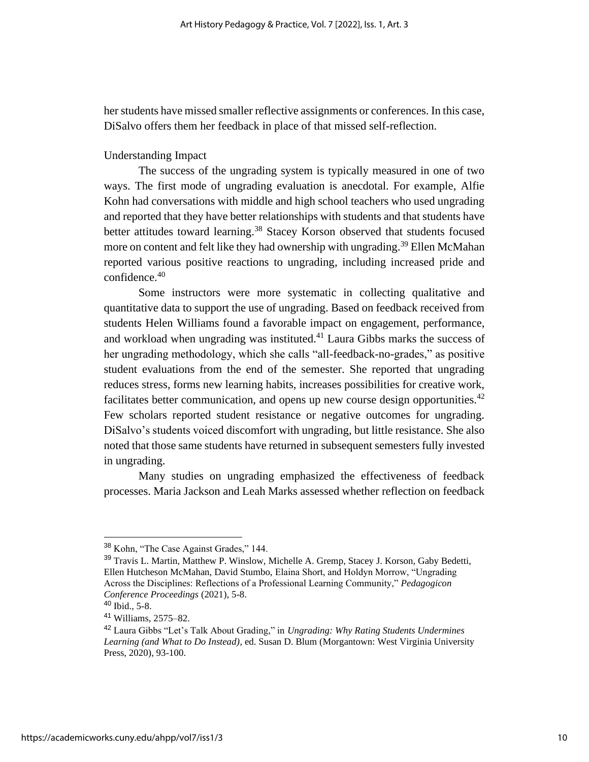her students have missed smaller reflective assignments or conferences. In this case, DiSalvo offers them her feedback in place of that missed self-reflection.

#### Understanding Impact

The success of the ungrading system is typically measured in one of two ways. The first mode of ungrading evaluation is anecdotal. For example, Alfie Kohn had conversations with middle and high school teachers who used ungrading and reported that they have better relationships with students and that students have better attitudes toward learning.<sup>38</sup> Stacey Korson observed that students focused more on content and felt like they had ownership with ungrading.<sup>39</sup> Ellen McMahan reported various positive reactions to ungrading, including increased pride and confidence.<sup>40</sup>

Some instructors were more systematic in collecting qualitative and quantitative data to support the use of ungrading. Based on feedback received from students Helen Williams found a favorable impact on engagement, performance, and workload when ungrading was instituted.<sup>41</sup> Laura Gibbs marks the success of her ungrading methodology, which she calls "all-feedback-no-grades," as positive student evaluations from the end of the semester. She reported that ungrading reduces stress, forms new learning habits, increases possibilities for creative work, facilitates better communication, and opens up new course design opportunities.<sup>42</sup> Few scholars reported student resistance or negative outcomes for ungrading. DiSalvo's students voiced discomfort with ungrading, but little resistance. She also noted that those same students have returned in subsequent semesters fully invested in ungrading.

Many studies on ungrading emphasized the effectiveness of feedback processes. Maria Jackson and Leah Marks assessed whether reflection on feedback

<sup>&</sup>lt;sup>38</sup> Kohn, "The Case Against Grades," 144.

<sup>39</sup> Travis L. Martin, Matthew P. Winslow, Michelle A. Gremp, Stacey J. Korson, Gaby Bedetti, Ellen Hutcheson McMahan, David Stumbo, Elaina Short, and Holdyn Morrow, "Ungrading Across the Disciplines: Reflections of a Professional Learning Community," *Pedagogicon Conference Proceedings* (2021), 5-8.

<sup>40</sup> Ibid., 5-8.

<sup>41</sup> Williams, 2575–82.

<sup>42</sup> Laura Gibbs "Let's Talk About Grading," in *Ungrading: Why Rating Students Undermines Learning (and What to Do Instead)*, ed. Susan D. Blum (Morgantown: West Virginia University Press, 2020), 93-100.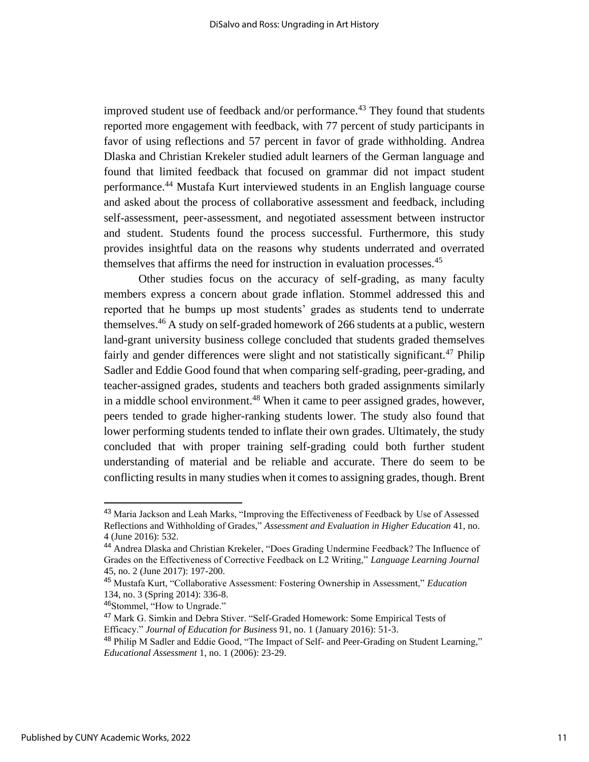improved student use of feedback and/or performance.<sup>43</sup> They found that students reported more engagement with feedback, with 77 percent of study participants in favor of using reflections and 57 percent in favor of grade withholding. Andrea Dlaska and Christian Krekeler studied adult learners of the German language and found that limited feedback that focused on grammar did not impact student performance.<sup>44</sup> Mustafa Kurt interviewed students in an English language course and asked about the process of collaborative assessment and feedback, including self-assessment, peer-assessment, and negotiated assessment between instructor and student. Students found the process successful. Furthermore, this study provides insightful data on the reasons why students underrated and overrated themselves that affirms the need for instruction in evaluation processes.<sup>45</sup>

Other studies focus on the accuracy of self-grading, as many faculty members express a concern about grade inflation. Stommel addressed this and reported that he bumps up most students' grades as students tend to underrate themselves.<sup>46</sup> A study on self-graded homework of 266 students at a public, western land-grant university business college concluded that students graded themselves fairly and gender differences were slight and not statistically significant.<sup>47</sup> Philip Sadler and Eddie Good found that when comparing self-grading, peer-grading, and teacher-assigned grades, students and teachers both graded assignments similarly in a middle school environment.<sup>48</sup> When it came to peer assigned grades, however, peers tended to grade higher-ranking students lower. The study also found that lower performing students tended to inflate their own grades. Ultimately, the study concluded that with proper training self-grading could both further student understanding of material and be reliable and accurate. There do seem to be conflicting results in many studies when it comes to assigning grades, though. Brent

<sup>&</sup>lt;sup>43</sup> Maria Jackson and Leah Marks, "Improving the Effectiveness of Feedback by Use of Assessed Reflections and Withholding of Grades," *Assessment and Evaluation in Higher Education* 41, no. 4 (June 2016): 532.

<sup>44</sup> Andrea Dlaska and Christian Krekeler, "Does Grading Undermine Feedback? The Influence of Grades on the Effectiveness of Corrective Feedback on L2 Writing," *Language Learning Journal* 45, no. 2 (June 2017): 197-200.

<sup>45</sup> Mustafa Kurt, "Collaborative Assessment: Fostering Ownership in Assessment," *Education* 134, no. 3 (Spring 2014): 336-8.

<sup>46</sup>Stommel, "How to Ungrade."

<sup>47</sup> Mark G. Simkin and Debra Stiver. "Self-Graded Homework: Some Empirical Tests of Efficacy." *Journal of Education for Busines*s 91, no. 1 (January 2016): 51-3.

<sup>&</sup>lt;sup>48</sup> Philip M Sadler and Eddie Good, "The Impact of Self- and Peer-Grading on Student Learning," *Educational Assessment* 1, no. 1 (2006): 23-29.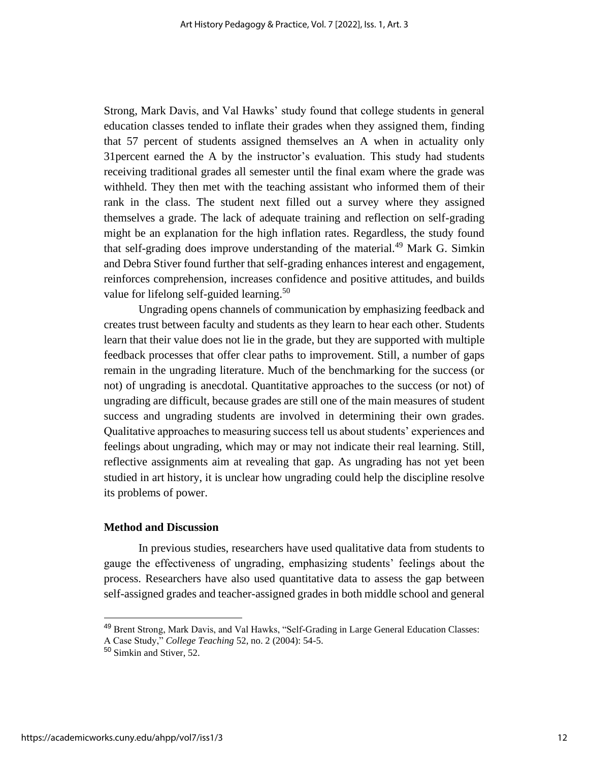Strong, Mark Davis, and Val Hawks' study found that college students in general education classes tended to inflate their grades when they assigned them, finding that 57 percent of students assigned themselves an A when in actuality only 31percent earned the A by the instructor's evaluation. This study had students receiving traditional grades all semester until the final exam where the grade was withheld. They then met with the teaching assistant who informed them of their rank in the class. The student next filled out a survey where they assigned themselves a grade. The lack of adequate training and reflection on self-grading might be an explanation for the high inflation rates. Regardless, the study found that self-grading does improve understanding of the material.<sup>49</sup> Mark G. Simkin and Debra Stiver found further that self-grading enhances interest and engagement, reinforces comprehension, increases confidence and positive attitudes, and builds value for lifelong self-guided learning.<sup>50</sup>

Ungrading opens channels of communication by emphasizing feedback and creates trust between faculty and students as they learn to hear each other. Students learn that their value does not lie in the grade, but they are supported with multiple feedback processes that offer clear paths to improvement. Still, a number of gaps remain in the ungrading literature. Much of the benchmarking for the success (or not) of ungrading is anecdotal. Quantitative approaches to the success (or not) of ungrading are difficult, because grades are still one of the main measures of student success and ungrading students are involved in determining their own grades. Qualitative approaches to measuring success tell us about students' experiences and feelings about ungrading, which may or may not indicate their real learning. Still, reflective assignments aim at revealing that gap. As ungrading has not yet been studied in art history, it is unclear how ungrading could help the discipline resolve its problems of power.

#### **Method and Discussion**

In previous studies, researchers have used qualitative data from students to gauge the effectiveness of ungrading, emphasizing students' feelings about the process. Researchers have also used quantitative data to assess the gap between self-assigned grades and teacher-assigned grades in both middle school and general

<sup>&</sup>lt;sup>49</sup> Brent Strong, Mark Davis, and Val Hawks, "Self-Grading in Large General Education Classes:

A Case Study," *College Teaching* 52, no. 2 (2004): 54-5.

<sup>50</sup> Simkin and Stiver, 52.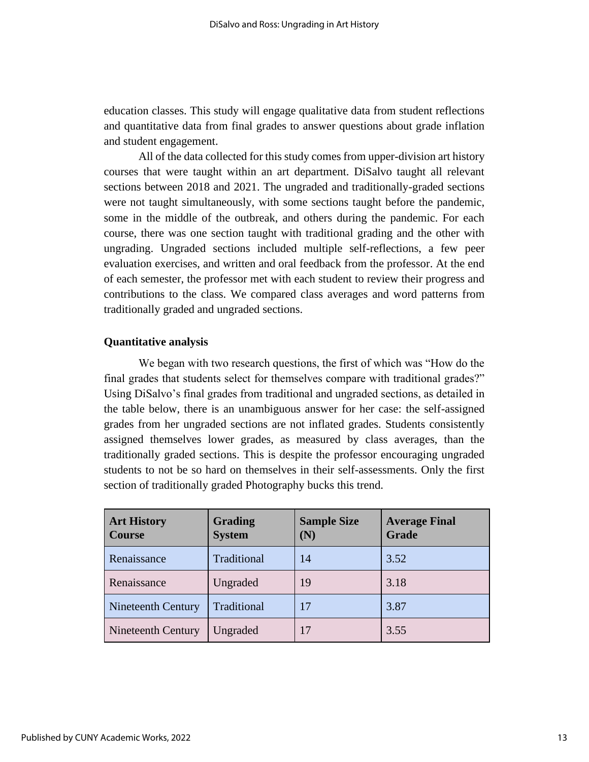education classes. This study will engage qualitative data from student reflections and quantitative data from final grades to answer questions about grade inflation and student engagement.

All of the data collected for this study comes from upper-division art history courses that were taught within an art department. DiSalvo taught all relevant sections between 2018 and 2021. The ungraded and traditionally-graded sections were not taught simultaneously, with some sections taught before the pandemic, some in the middle of the outbreak, and others during the pandemic. For each course, there was one section taught with traditional grading and the other with ungrading. Ungraded sections included multiple self-reflections, a few peer evaluation exercises, and written and oral feedback from the professor. At the end of each semester, the professor met with each student to review their progress and contributions to the class. We compared class averages and word patterns from traditionally graded and ungraded sections.

#### **Quantitative analysis**

We began with two research questions, the first of which was "How do the final grades that students select for themselves compare with traditional grades?" Using DiSalvo's final grades from traditional and ungraded sections, as detailed in the table below, there is an unambiguous answer for her case: the self-assigned grades from her ungraded sections are not inflated grades. Students consistently assigned themselves lower grades, as measured by class averages, than the traditionally graded sections. This is despite the professor encouraging ungraded students to not be so hard on themselves in their self-assessments. Only the first section of traditionally graded Photography bucks this trend.

| <b>Art History</b><br><b>Course</b> | Grading<br><b>System</b> | <b>Sample Size</b><br>(N) | <b>Average Final</b><br><b>Grade</b> |
|-------------------------------------|--------------------------|---------------------------|--------------------------------------|
| Renaissance                         | Traditional              | 14                        | 3.52                                 |
| Renaissance                         | Ungraded                 | 19                        | 3.18                                 |
| Nineteenth Century                  | Traditional              | 17                        | 3.87                                 |
| Nineteenth Century                  | Ungraded                 | 17                        | 3.55                                 |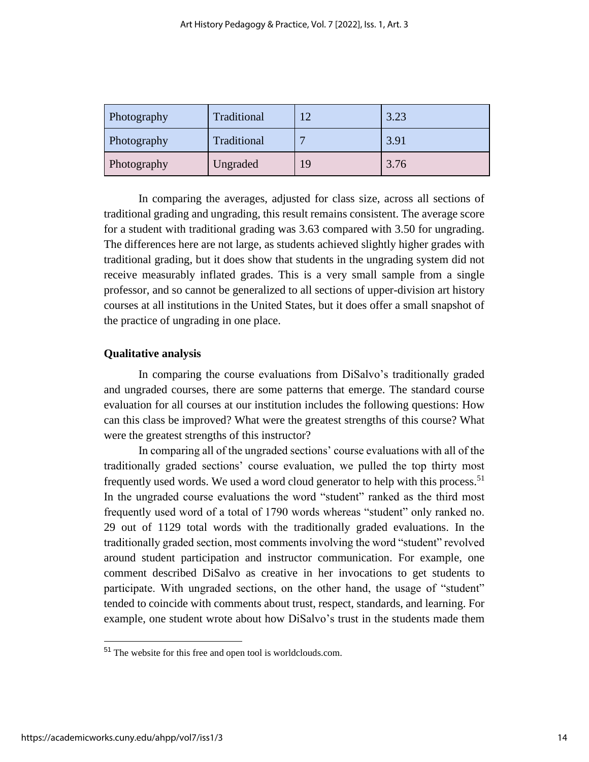| Photography | Traditional | 1 $\mathcal{D}$ | 3.23 |
|-------------|-------------|-----------------|------|
| Photography | Traditional | <b>F</b>        | 3.91 |
| Photography | Ungraded    |                 | 3.76 |

In comparing the averages, adjusted for class size, across all sections of traditional grading and ungrading, this result remains consistent. The average score for a student with traditional grading was 3.63 compared with 3.50 for ungrading. The differences here are not large, as students achieved slightly higher grades with traditional grading, but it does show that students in the ungrading system did not receive measurably inflated grades. This is a very small sample from a single professor, and so cannot be generalized to all sections of upper-division art history courses at all institutions in the United States, but it does offer a small snapshot of the practice of ungrading in one place.

#### **Qualitative analysis**

In comparing the course evaluations from DiSalvo's traditionally graded and ungraded courses, there are some patterns that emerge. The standard course evaluation for all courses at our institution includes the following questions: How can this class be improved? What were the greatest strengths of this course? What were the greatest strengths of this instructor?

In comparing all of the ungraded sections' course evaluations with all of the traditionally graded sections' course evaluation, we pulled the top thirty most frequently used words. We used a word cloud generator to help with this process.<sup>51</sup> In the ungraded course evaluations the word "student" ranked as the third most frequently used word of a total of 1790 words whereas "student" only ranked no. 29 out of 1129 total words with the traditionally graded evaluations. In the traditionally graded section, most comments involving the word "student" revolved around student participation and instructor communication. For example, one comment described DiSalvo as creative in her invocations to get students to participate. With ungraded sections, on the other hand, the usage of "student" tended to coincide with comments about trust, respect, standards, and learning. For example, one student wrote about how DiSalvo's trust in the students made them

<sup>51</sup> The website for this free and open tool is worldclouds.com.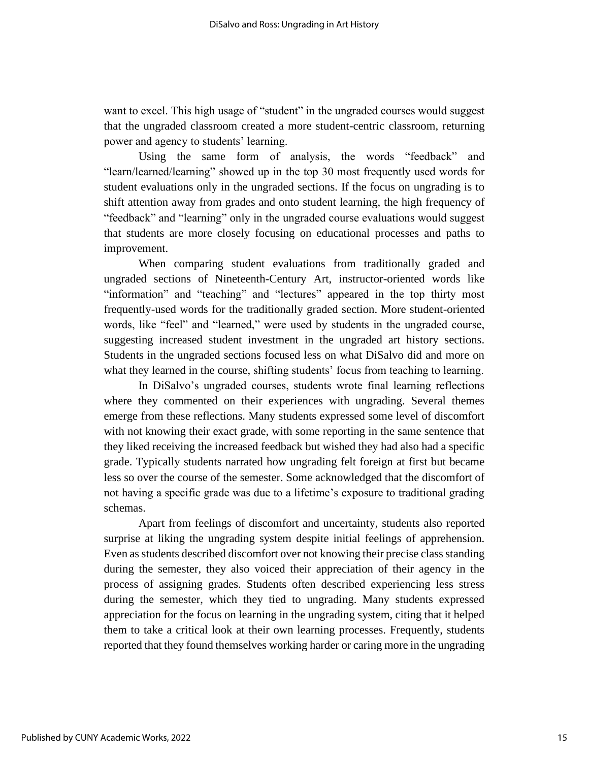want to excel. This high usage of "student" in the ungraded courses would suggest that the ungraded classroom created a more student-centric classroom, returning power and agency to students' learning.

Using the same form of analysis, the words "feedback" and "learn/learned/learning" showed up in the top 30 most frequently used words for student evaluations only in the ungraded sections. If the focus on ungrading is to shift attention away from grades and onto student learning, the high frequency of "feedback" and "learning" only in the ungraded course evaluations would suggest that students are more closely focusing on educational processes and paths to improvement.

When comparing student evaluations from traditionally graded and ungraded sections of Nineteenth-Century Art, instructor-oriented words like "information" and "teaching" and "lectures" appeared in the top thirty most frequently-used words for the traditionally graded section. More student-oriented words, like "feel" and "learned," were used by students in the ungraded course, suggesting increased student investment in the ungraded art history sections. Students in the ungraded sections focused less on what DiSalvo did and more on what they learned in the course, shifting students' focus from teaching to learning.

In DiSalvo's ungraded courses, students wrote final learning reflections where they commented on their experiences with ungrading. Several themes emerge from these reflections. Many students expressed some level of discomfort with not knowing their exact grade, with some reporting in the same sentence that they liked receiving the increased feedback but wished they had also had a specific grade. Typically students narrated how ungrading felt foreign at first but became less so over the course of the semester. Some acknowledged that the discomfort of not having a specific grade was due to a lifetime's exposure to traditional grading schemas.

Apart from feelings of discomfort and uncertainty, students also reported surprise at liking the ungrading system despite initial feelings of apprehension. Even as students described discomfort over not knowing their precise class standing during the semester, they also voiced their appreciation of their agency in the process of assigning grades. Students often described experiencing less stress during the semester, which they tied to ungrading. Many students expressed appreciation for the focus on learning in the ungrading system, citing that it helped them to take a critical look at their own learning processes. Frequently, students reported that they found themselves working harder or caring more in the ungrading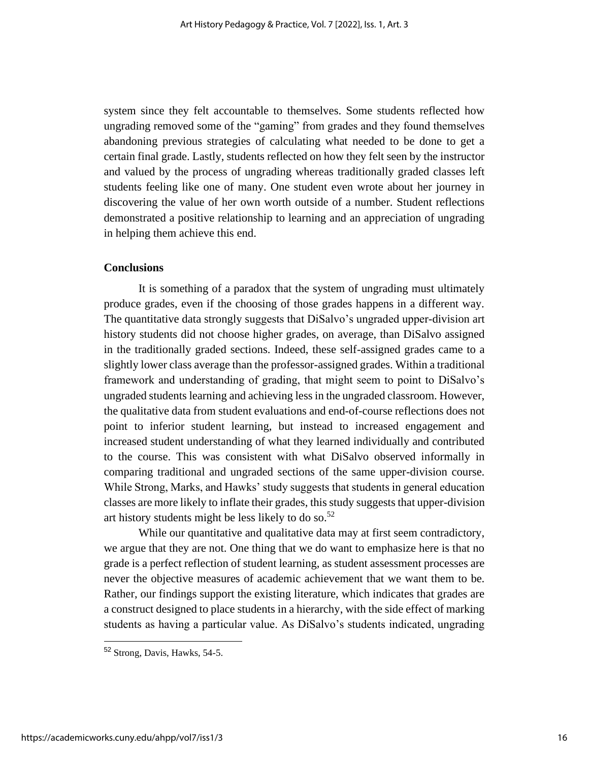system since they felt accountable to themselves. Some students reflected how ungrading removed some of the "gaming" from grades and they found themselves abandoning previous strategies of calculating what needed to be done to get a certain final grade. Lastly, students reflected on how they felt seen by the instructor and valued by the process of ungrading whereas traditionally graded classes left students feeling like one of many. One student even wrote about her journey in discovering the value of her own worth outside of a number. Student reflections demonstrated a positive relationship to learning and an appreciation of ungrading in helping them achieve this end.

#### **Conclusions**

It is something of a paradox that the system of ungrading must ultimately produce grades, even if the choosing of those grades happens in a different way. The quantitative data strongly suggests that DiSalvo's ungraded upper-division art history students did not choose higher grades, on average, than DiSalvo assigned in the traditionally graded sections. Indeed, these self-assigned grades came to a slightly lower class average than the professor-assigned grades. Within a traditional framework and understanding of grading, that might seem to point to DiSalvo's ungraded students learning and achieving less in the ungraded classroom. However, the qualitative data from student evaluations and end-of-course reflections does not point to inferior student learning, but instead to increased engagement and increased student understanding of what they learned individually and contributed to the course. This was consistent with what DiSalvo observed informally in comparing traditional and ungraded sections of the same upper-division course. While Strong, Marks, and Hawks' study suggests that students in general education classes are more likely to inflate their grades, this study suggests that upper-division art history students might be less likely to do so. $52$ 

While our quantitative and qualitative data may at first seem contradictory, we argue that they are not. One thing that we do want to emphasize here is that no grade is a perfect reflection of student learning, as student assessment processes are never the objective measures of academic achievement that we want them to be. Rather, our findings support the existing literature, which indicates that grades are a construct designed to place students in a hierarchy, with the side effect of marking students as having a particular value. As DiSalvo's students indicated, ungrading

<sup>52</sup> Strong, Davis, Hawks, 54-5.